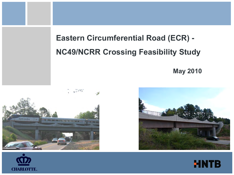**May 2010** 







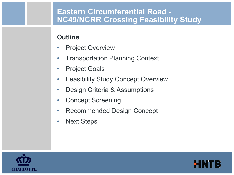### **Outline**

- Project Overview
- Transportation Planning Context
- Project Goals
- Feasibility Study Concept Overview
- Design Criteria & Assumptions
- Concept Screening
- Recommended Design Concept
- Next Steps



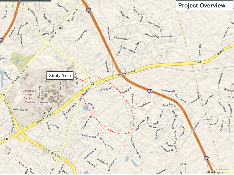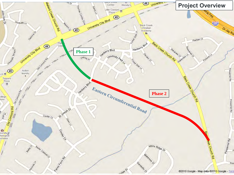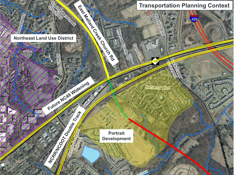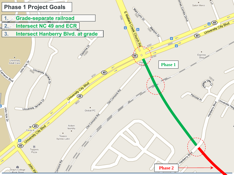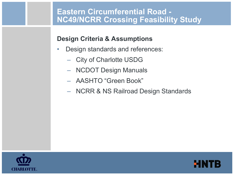#### **Design Criteria & Assumptions**

- Design standards and references:
	- City of Charlotte USDG
	- NCDOT Design Manuals
	- AASHTO "Green Book"
	- NCRR & NS Railroad Design Standards



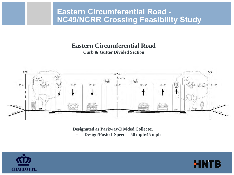## **Eastern Circumferential Road**





**Designated as Parkway/Divided Collector** – **Design/Posted Speed = 50 mph/45 mph**

**HN1** 

B

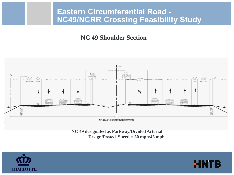#### **NC 49 Shoulder Section**



- **NC 49 designated as Parkway/Divided Arterial**
	- **Design/Posted Speed = 50 mph/45 mph**

MI

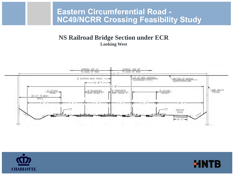**NS Railroad Bridge Section under ECR Looking West**





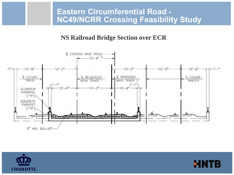#### **NS Railroad Bridge Section over ECR**





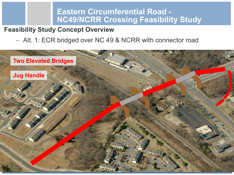#### **Feasibility Study Concept Overview**

### – Alt. 1: ECR bridged over NC 49 & NCRR with connector road

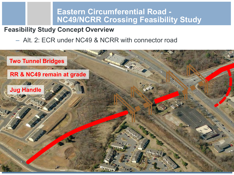#### **Feasibility Study Concept Overview**

#### – Alt. 2: ECR under NC49 & NCRR with connector road

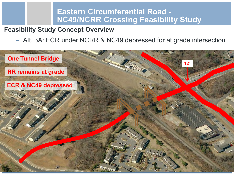## **Feasibility Study Concept Overview**

#### – Alt. 3A: ECR under NCRR & NC49 depressed for at grade intersection

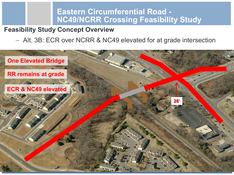#### **Feasibility Study Concept Overview**

#### – Alt. 3B: ECR over NCRR & NC49 elevated for at grade intersection

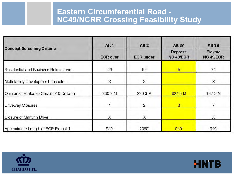| <b>Concept Screening Criteria</b>       | Alt <sub>1</sub><br><b>ECR over</b> | Alt <sub>2</sub><br><b>ECR under</b> | Alt 3A<br><b>Depress</b><br>NC 49/ECR | Alt 3B<br><b>Elevate</b><br>NC 49/ECR |
|-----------------------------------------|-------------------------------------|--------------------------------------|---------------------------------------|---------------------------------------|
|                                         |                                     |                                      |                                       |                                       |
| Multi-family Development Impacts        | X                                   | $\times$                             |                                       | $\times$                              |
| Opinion of Probable Cost (2010 Dollars) | \$30.7 M                            | \$30.3 M                             | \$24.5 M                              | \$47.2 M                              |
| Driveway Closures                       |                                     | $\overline{2}$                       | $\overline{3}$                        |                                       |
| Closure of Marlynn Drive                | X                                   | X                                    |                                       | X                                     |
| Approximate Length of ECR Re-build      | 940                                 | 2050'                                | 940'                                  | 940'                                  |



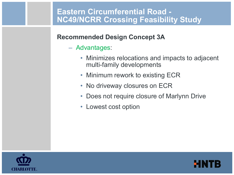### **Recommended Design Concept 3A**

- Advantages:
	- Minimizes relocations and impacts to adjacent multi-family developments
	- Minimum rework to existing ECR
	- No driveway closures on ECR
	- Does not require closure of Marlynn Drive
	- Lowest cost option



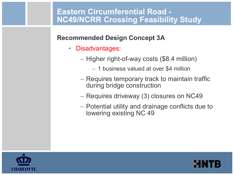## **Recommended Design Concept 3A**

- Disadvantages:
	- Higher right-of-way costs (\$8.4 million)
		- 1 business valued at over \$4 million
	- Requires temporary track to maintain traffic during bridge construction
	- Requires driveway (3) closures on NC49
	- Potential utility and drainage conflicts due to lowering existing NC 49